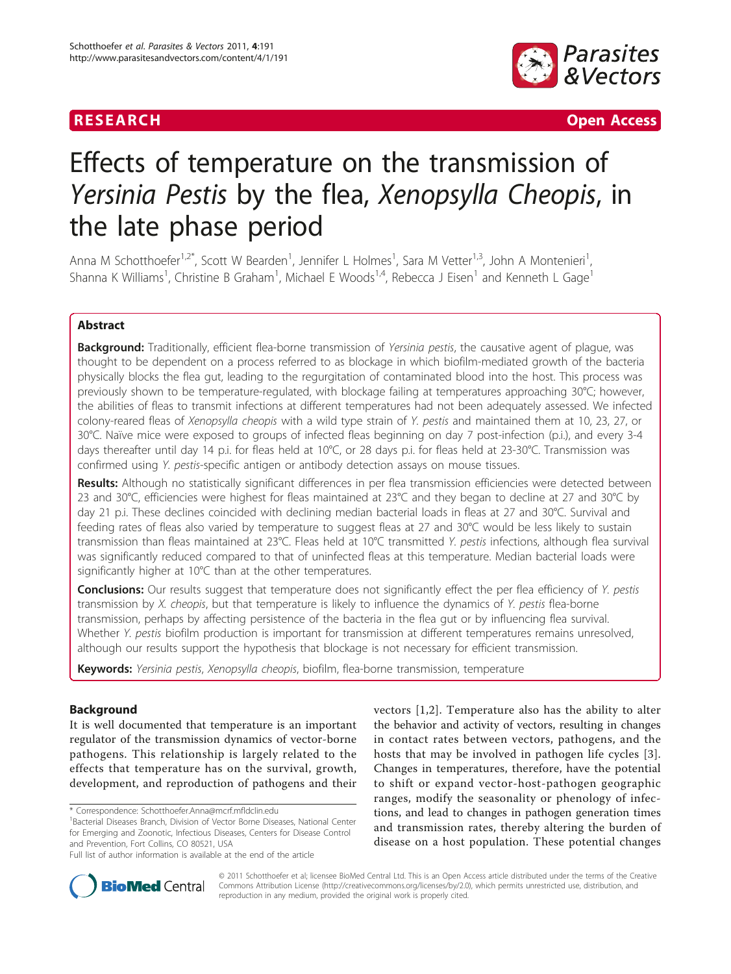

**RESEARCH Open Access** 

# Effects of temperature on the transmission of Yersinia Pestis by the flea, Xenopsylla Cheopis, in the late phase period

Anna M Schotthoefer<sup>1,2\*</sup>, Scott W Bearden<sup>1</sup>, Jennifer L Holmes<sup>1</sup>, Sara M Vetter<sup>1,3</sup>, John A Montenieri<sup>1</sup> , Shanna K Williams<sup>1</sup>, Christine B Graham<sup>1</sup>, Michael E Woods<sup>1,4</sup>, Rebecca J Eisen<sup>1</sup> and Kenneth L Gage<sup>1</sup>

# Abstract

**Background:** Traditionally, efficient flea-borne transmission of Yersinia pestis, the causative agent of plague, was thought to be dependent on a process referred to as blockage in which biofilm-mediated growth of the bacteria physically blocks the flea gut, leading to the regurgitation of contaminated blood into the host. This process was previously shown to be temperature-regulated, with blockage failing at temperatures approaching 30°C; however, the abilities of fleas to transmit infections at different temperatures had not been adequately assessed. We infected colony-reared fleas of Xenopsylla cheopis with a wild type strain of Y. pestis and maintained them at 10, 23, 27, or 30°C. Naïve mice were exposed to groups of infected fleas beginning on day 7 post-infection (p.i.), and every 3-4 days thereafter until day 14 p.i. for fleas held at 10°C, or 28 days p.i. for fleas held at 23-30°C. Transmission was confirmed using Y. pestis-specific antigen or antibody detection assays on mouse tissues.

Results: Although no statistically significant differences in per flea transmission efficiencies were detected between 23 and 30°C, efficiencies were highest for fleas maintained at 23°C and they began to decline at 27 and 30°C by day 21 p.i. These declines coincided with declining median bacterial loads in fleas at 27 and 30°C. Survival and feeding rates of fleas also varied by temperature to suggest fleas at 27 and 30°C would be less likely to sustain transmission than fleas maintained at 23°C. Fleas held at 10°C transmitted Y. pestis infections, although flea survival was significantly reduced compared to that of uninfected fleas at this temperature. Median bacterial loads were significantly higher at 10°C than at the other temperatures.

**Conclusions:** Our results suggest that temperature does not significantly effect the per flea efficiency of Y. pestis transmission by X. cheopis, but that temperature is likely to influence the dynamics of Y. pestis flea-borne transmission, perhaps by affecting persistence of the bacteria in the flea gut or by influencing flea survival. Whether Y. pestis biofilm production is important for transmission at different temperatures remains unresolved, although our results support the hypothesis that blockage is not necessary for efficient transmission.

Keywords: Yersinia pestis, Xenopsylla cheopis, biofilm, flea-borne transmission, temperature

# Background

It is well documented that temperature is an important regulator of the transmission dynamics of vector-borne pathogens. This relationship is largely related to the effects that temperature has on the survival, growth, development, and reproduction of pathogens and their

\* Correspondence: [Schotthoefer.Anna@mcrf.mfldclin.edu](mailto:Schotthoefer.Anna@mcrf.mfldclin.edu)

vectors [[1](#page-9-0),[2\]](#page-9-0). Temperature also has the ability to alter the behavior and activity of vectors, resulting in changes in contact rates between vectors, pathogens, and the hosts that may be involved in pathogen life cycles [[3](#page-9-0)]. Changes in temperatures, therefore, have the potential to shift or expand vector-host-pathogen geographic ranges, modify the seasonality or phenology of infections, and lead to changes in pathogen generation times and transmission rates, thereby altering the burden of disease on a host population. These potential changes



© 2011 Schotthoefer et al; licensee BioMed Central Ltd. This is an Open Access article distributed under the terms of the Creative Commons Attribution License [\(http://creativecommons.org/licenses/by/2.0](http://creativecommons.org/licenses/by/2.0)), which permits unrestricted use, distribution, and reproduction in any medium, provided the original work is properly cited.

<sup>&</sup>lt;sup>1</sup> Bacterial Diseases Branch, Division of Vector Borne Diseases, National Center for Emerging and Zoonotic, Infectious Diseases, Centers for Disease Control and Prevention, Fort Collins, CO 80521, USA

Full list of author information is available at the end of the article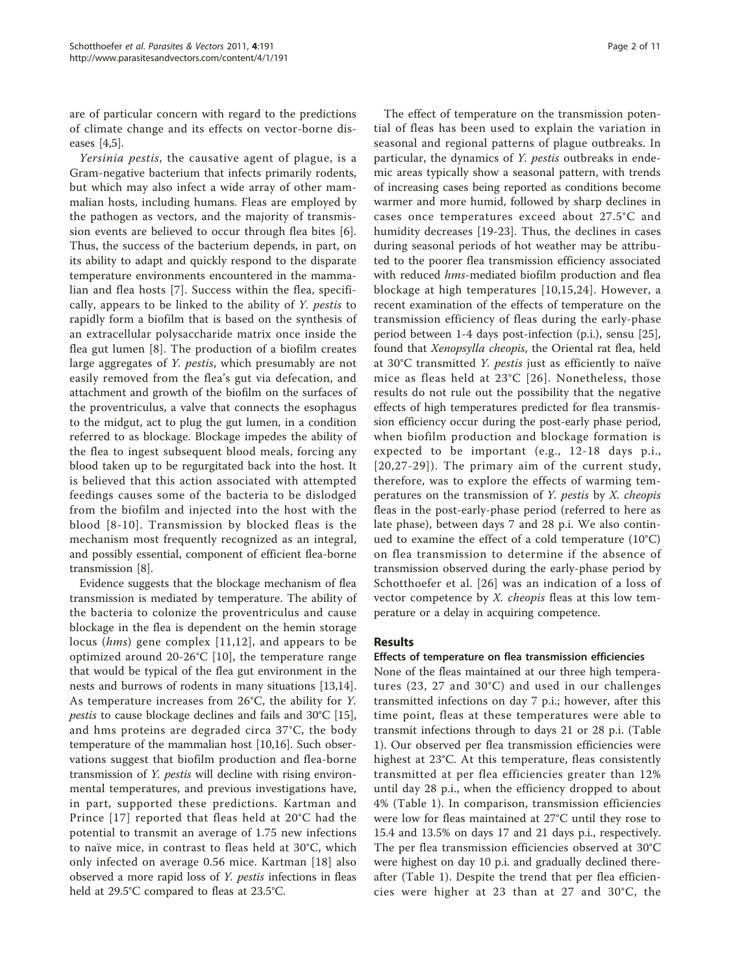are of particular concern with regard to the predictions of climate change and its effects on vector-borne diseases [[4,5\]](#page-9-0).

Yersinia pestis, the causative agent of plague, is a Gram-negative bacterium that infects primarily rodents, but which may also infect a wide array of other mammalian hosts, including humans. Fleas are employed by the pathogen as vectors, and the majority of transmission events are believed to occur through flea bites [[6](#page-9-0)]. Thus, the success of the bacterium depends, in part, on its ability to adapt and quickly respond to the disparate temperature environments encountered in the mammalian and flea hosts [[7](#page-9-0)]. Success within the flea, specifically, appears to be linked to the ability of Y. pestis to rapidly form a biofilm that is based on the synthesis of an extracellular polysaccharide matrix once inside the flea gut lumen [[8\]](#page-9-0). The production of a biofilm creates large aggregates of Y. pestis, which presumably are not easily removed from the flea's gut via defecation, and attachment and growth of the biofilm on the surfaces of the proventriculus, a valve that connects the esophagus to the midgut, act to plug the gut lumen, in a condition referred to as blockage. Blockage impedes the ability of the flea to ingest subsequent blood meals, forcing any blood taken up to be regurgitated back into the host. It is believed that this action associated with attempted feedings causes some of the bacteria to be dislodged from the biofilm and injected into the host with the blood [[8-10](#page-9-0)]. Transmission by blocked fleas is the mechanism most frequently recognized as an integral, and possibly essential, component of efficient flea-borne transmission [[8\]](#page-9-0).

Evidence suggests that the blockage mechanism of flea transmission is mediated by temperature. The ability of the bacteria to colonize the proventriculus and cause blockage in the flea is dependent on the hemin storage locus (hms) gene complex [[11](#page-9-0),[12](#page-9-0)], and appears to be optimized around 20-26°C [[10](#page-9-0)], the temperature range that would be typical of the flea gut environment in the nests and burrows of rodents in many situations [[13,14](#page-9-0)]. As temperature increases from 26°C, the ability for Y. pestis to cause blockage declines and fails and 30°C [\[15](#page-9-0)], and hms proteins are degraded circa 37°C, the body temperature of the mammalian host [[10](#page-9-0),[16](#page-9-0)]. Such observations suggest that biofilm production and flea-borne transmission of Y. pestis will decline with rising environmental temperatures, and previous investigations have, in part, supported these predictions. Kartman and Prince [\[17](#page-9-0)] reported that fleas held at 20°C had the potential to transmit an average of 1.75 new infections to naïve mice, in contrast to fleas held at 30°C, which only infected on average 0.56 mice. Kartman [[18](#page-9-0)] also observed a more rapid loss of Y. pestis infections in fleas held at 29.5°C compared to fleas at 23.5°C.

The effect of temperature on the transmission potential of fleas has been used to explain the variation in seasonal and regional patterns of plague outbreaks. In particular, the dynamics of Y. pestis outbreaks in endemic areas typically show a seasonal pattern, with trends of increasing cases being reported as conditions become warmer and more humid, followed by sharp declines in cases once temperatures exceed about 27.5°C and humidity decreases [[19](#page-9-0)-[23\]](#page-9-0). Thus, the declines in cases during seasonal periods of hot weather may be attributed to the poorer flea transmission efficiency associated with reduced hms-mediated biofilm production and flea blockage at high temperatures [\[10,15,24](#page-9-0)]. However, a recent examination of the effects of temperature on the transmission efficiency of fleas during the early-phase period between 1-4 days post-infection (p.i.), sensu [\[25](#page-9-0)], found that Xenopsylla cheopis, the Oriental rat flea, held at 30°C transmitted Y. pestis just as efficiently to naïve mice as fleas held at 23°C [[26](#page-9-0)]. Nonetheless, those results do not rule out the possibility that the negative effects of high temperatures predicted for flea transmission efficiency occur during the post-early phase period, when biofilm production and blockage formation is expected to be important (e.g., 12-18 days p.i., [[20](#page-9-0),[27](#page-9-0)-[29](#page-9-0)]). The primary aim of the current study, therefore, was to explore the effects of warming temperatures on the transmission of Y. pestis by X. cheopis fleas in the post-early-phase period (referred to here as late phase), between days 7 and 28 p.i. We also continued to examine the effect of a cold temperature (10°C) on flea transmission to determine if the absence of transmission observed during the early-phase period by Schotthoefer et al. [[26\]](#page-9-0) was an indication of a loss of vector competence by  $X$ . *cheopis* fleas at this low temperature or a delay in acquiring competence.

# Results

# Effects of temperature on flea transmission efficiencies

None of the fleas maintained at our three high temperatures (23, 27 and 30°C) and used in our challenges transmitted infections on day 7 p.i.; however, after this time point, fleas at these temperatures were able to transmit infections through to days 21 or 28 p.i. (Table [1\)](#page-2-0). Our observed per flea transmission efficiencies were highest at 23°C. At this temperature, fleas consistently transmitted at per flea efficiencies greater than 12% until day 28 p.i., when the efficiency dropped to about 4% (Table [1](#page-2-0)). In comparison, transmission efficiencies were low for fleas maintained at 27°C until they rose to 15.4 and 13.5% on days 17 and 21 days p.i., respectively. The per flea transmission efficiencies observed at 30°C were highest on day 10 p.i. and gradually declined thereafter (Table [1\)](#page-2-0). Despite the trend that per flea efficiencies were higher at 23 than at 27 and 30°C, the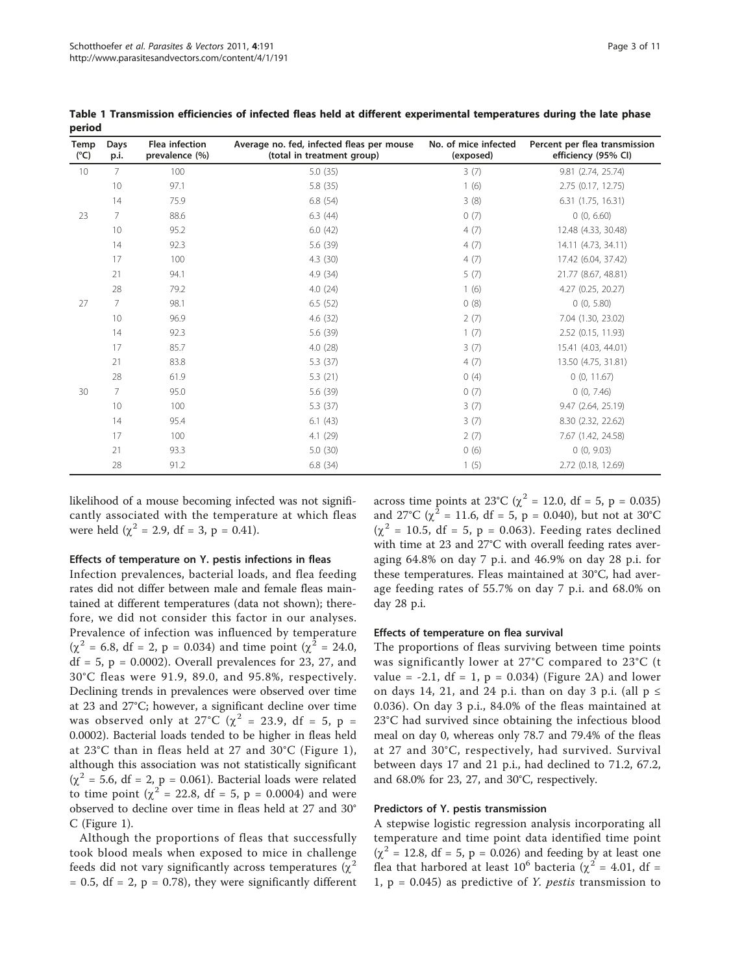| Temp<br>$(^{\circ}C)$ | Days<br>p.i. | <b>Flea infection</b><br>prevalence (%) | Average no. fed, infected fleas per mouse<br>(total in treatment group) | No. of mice infected<br>(exposed) | Percent per flea transmission<br>efficiency (95% CI) |
|-----------------------|--------------|-----------------------------------------|-------------------------------------------------------------------------|-----------------------------------|------------------------------------------------------|
| 10 <sup>°</sup>       | 7            | 100                                     | 5.0(35)                                                                 | 3(7)                              | 9.81 (2.74, 25.74)                                   |
|                       | 10           | 97.1                                    | 5.8 (35)                                                                | 1(6)                              | 2.75 (0.17, 12.75)                                   |
|                       | 14           | 75.9                                    | 6.8(54)                                                                 | 3(8)                              | 6.31 (1.75, 16.31)                                   |
| 23                    | 7            | 88.6                                    | 6.3(44)                                                                 | 0(7)                              | 0(0, 6.60)                                           |
|                       | 10           | 95.2                                    | 6.0(42)                                                                 | 4(7)                              | 12.48 (4.33, 30.48)                                  |
|                       | 14           | 92.3                                    | 5.6(39)                                                                 | 4(7)                              | 14.11 (4.73, 34.11)                                  |
|                       | 17           | 100                                     | 4.3(30)                                                                 | 4(7)                              | 17.42 (6.04, 37.42)                                  |
|                       | 21           | 94.1                                    | 4.9(34)                                                                 | 5(7)                              | 21.77 (8.67, 48.81)                                  |
|                       | 28           | 79.2                                    | 4.0(24)                                                                 | 1(6)                              | 4.27 (0.25, 20.27)                                   |
| 27                    | 7            | 98.1                                    | 6.5(52)                                                                 | 0(8)                              | 0(0, 5.80)                                           |
|                       | 10           | 96.9                                    | 4.6(32)                                                                 | 2(7)                              | 7.04 (1.30, 23.02)                                   |
|                       | 14           | 92.3                                    | 5.6(39)                                                                 | 1(7)                              | 2.52 (0.15, 11.93)                                   |
|                       | 17           | 85.7                                    | 4.0(28)                                                                 | 3(7)                              | 15.41 (4.03, 44.01)                                  |
|                       | 21           | 83.8                                    | 5.3(37)                                                                 | 4(7)                              | 13.50 (4.75, 31.81)                                  |
|                       | 28           | 61.9                                    | 5.3(21)                                                                 | 0(4)                              | 0(0, 11.67)                                          |
| 30                    | 7            | 95.0                                    | 5.6 (39)                                                                | 0(7)                              | 0(0, 7.46)                                           |
|                       | 10           | 100                                     | 5.3(37)                                                                 | 3(7)                              | 9.47 (2.64, 25.19)                                   |
|                       | 14           | 95.4                                    | 6.1(43)                                                                 | 3(7)                              | 8.30 (2.32, 22.62)                                   |
|                       | 17           | 100                                     | 4.1 (29)                                                                | 2(7)                              | 7.67 (1.42, 24.58)                                   |
|                       | 21           | 93.3                                    | 5.0(30)                                                                 | 0(6)                              | 0(0, 9.03)                                           |
|                       | 28           | 91.2                                    | 6.8(34)                                                                 | 1(5)                              | 2.72 (0.18, 12.69)                                   |

<span id="page-2-0"></span>Table 1 Transmission efficiencies of infected fleas held at different experimental temperatures during the late phase period

likelihood of a mouse becoming infected was not significantly associated with the temperature at which fleas were held ( $\chi^2$  = 2.9, df = 3, p = 0.41).

#### Effects of temperature on Y. pestis infections in fleas

Infection prevalences, bacterial loads, and flea feeding rates did not differ between male and female fleas maintained at different temperatures (data not shown); therefore, we did not consider this factor in our analyses. Prevalence of infection was influenced by temperature  $(\chi^2 = 6.8, df = 2, p = 0.034)$  and time point  $(\chi^2 = 24.0,$  $df = 5$ ,  $p = 0.0002$ ). Overall prevalences for 23, 27, and 30°C fleas were 91.9, 89.0, and 95.8%, respectively. Declining trends in prevalences were observed over time at 23 and 27°C; however, a significant decline over time was observed only at 27°C ( $\chi^2$  = 23.9, df = 5, p = 0.0002). Bacterial loads tended to be higher in fleas held at 23°C than in fleas held at 27 and 30°C (Figure [1\)](#page-3-0), although this association was not statistically significant  $(\chi^2 = 5.6, df = 2, p = 0.061)$ . Bacterial loads were related to time point ( $\chi^2$  = 22.8, df = 5, p = 0.0004) and were observed to decline over time in fleas held at 27 and 30° C (Figure [1](#page-3-0)).

Although the proportions of fleas that successfully took blood meals when exposed to mice in challenge feeds did not vary significantly across temperatures  $(\chi^2)$  $= 0.5$ , df  $= 2$ ,  $p = 0.78$ ), they were significantly different across time points at 23°C ( $\chi^2$  = 12.0, df = 5, p = 0.035) and 27°C ( $\chi^2$  = 11.6, df = 5, p = 0.040), but not at 30°C  $(\chi^2 = 10.5, df = 5, p = 0.063)$ . Feeding rates declined with time at 23 and 27°C with overall feeding rates averaging 64.8% on day 7 p.i. and 46.9% on day 28 p.i. for these temperatures. Fleas maintained at 30°C, had average feeding rates of 55.7% on day 7 p.i. and 68.0% on day 28 p.i.

#### Effects of temperature on flea survival

The proportions of fleas surviving between time points was significantly lower at 27°C compared to 23°C (t value =  $-2.1$ , df = 1, p = 0.034) (Figure [2A](#page-4-0)) and lower on days 14, 21, and 24 p.i. than on day 3 p.i. (all  $p \le$ 0.036). On day 3 p.i., 84.0% of the fleas maintained at 23°C had survived since obtaining the infectious blood meal on day 0, whereas only 78.7 and 79.4% of the fleas at 27 and 30°C, respectively, had survived. Survival between days 17 and 21 p.i., had declined to 71.2, 67.2, and 68.0% for 23, 27, and 30°C, respectively.

#### Predictors of Y. pestis transmission

A stepwise logistic regression analysis incorporating all temperature and time point data identified time point  $(\chi^2 = 12.8, df = 5, p = 0.026)$  and feeding by at least one flea that harbored at least 10<sup>6</sup> bacteria ( $\chi^2$  = 4.01, df = 1,  $p = 0.045$ ) as predictive of *Y. pestis* transmission to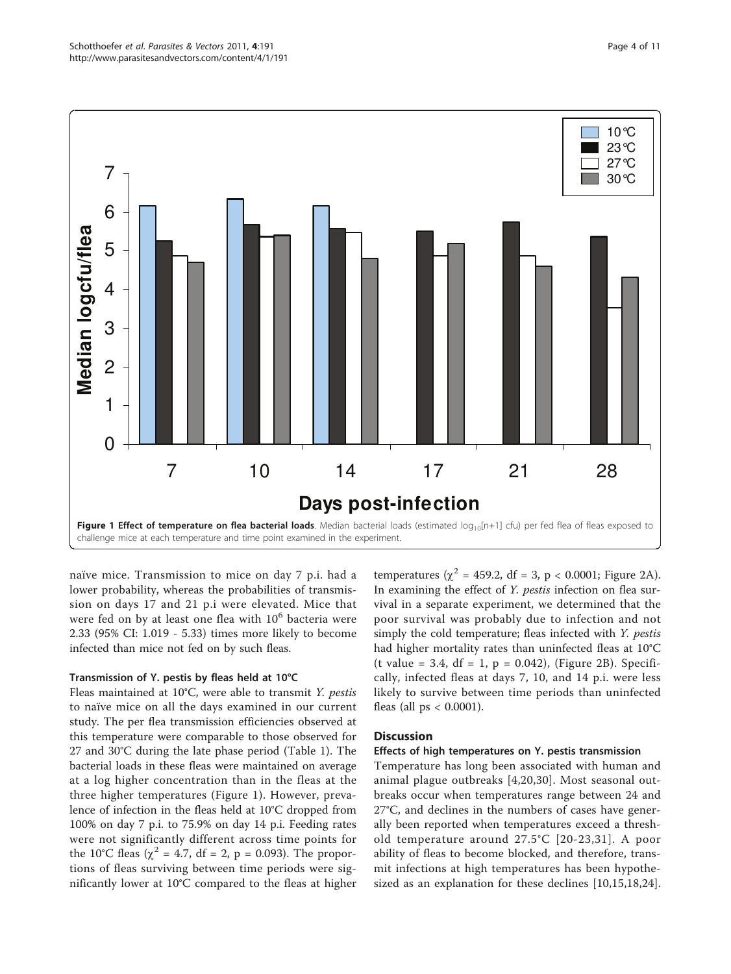<span id="page-3-0"></span>

naïve mice. Transmission to mice on day 7 p.i. had a lower probability, whereas the probabilities of transmission on days 17 and 21 p.i were elevated. Mice that were fed on by at least one flea with  $10<sup>6</sup>$  bacteria were 2.33 (95% CI: 1.019 - 5.33) times more likely to become infected than mice not fed on by such fleas.

#### Transmission of Y. pestis by fleas held at 10°C

Fleas maintained at 10°C, were able to transmit Y. pestis to naïve mice on all the days examined in our current study. The per flea transmission efficiencies observed at this temperature were comparable to those observed for 27 and 30°C during the late phase period (Table [1\)](#page-2-0). The bacterial loads in these fleas were maintained on average at a log higher concentration than in the fleas at the three higher temperatures (Figure 1). However, prevalence of infection in the fleas held at 10°C dropped from 100% on day 7 p.i. to 75.9% on day 14 p.i. Feeding rates were not significantly different across time points for the 10°C fleas ( $\chi^2$  = 4.7, df = 2, p = 0.093). The proportions of fleas surviving between time periods were significantly lower at 10°C compared to the fleas at higher

temperatures ( $\chi^2$  = 459.2, df = 3, p < 0.0001; Figure [2A](#page-4-0)). In examining the effect of Y. pestis infection on flea survival in a separate experiment, we determined that the poor survival was probably due to infection and not simply the cold temperature; fleas infected with Y. pestis had higher mortality rates than uninfected fleas at 10°C (t value = 3.4, df = 1,  $p = 0.042$ ), (Figure [2B](#page-4-0)). Specifically, infected fleas at days 7, 10, and 14 p.i. were less likely to survive between time periods than uninfected fleas (all  $ps < 0.0001$ ).

#### **Discussion**

### Effects of high temperatures on Y. pestis transmission

Temperature has long been associated with human and animal plague outbreaks [[4,20,30](#page-9-0)]. Most seasonal outbreaks occur when temperatures range between 24 and 27°C, and declines in the numbers of cases have generally been reported when temperatures exceed a threshold temperature around 27.5°C [[20](#page-9-0)-[23](#page-9-0),[31](#page-9-0)]. A poor ability of fleas to become blocked, and therefore, transmit infections at high temperatures has been hypothesized as an explanation for these declines [\[10](#page-9-0),[15,18,24](#page-9-0)].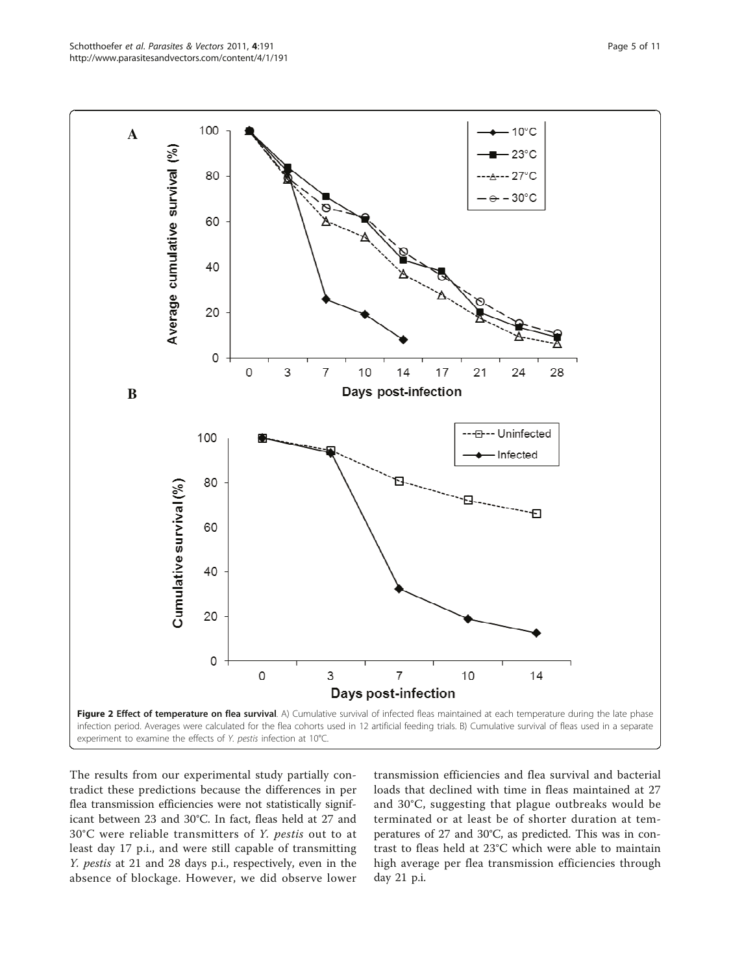The results from our experimental study partially contradict these predictions because the differences in per flea transmission efficiencies were not statistically significant between 23 and 30°C. In fact, fleas held at 27 and 30°C were reliable transmitters of Y. pestis out to at least day 17 p.i., and were still capable of transmitting Y. pestis at 21 and 28 days p.i., respectively, even in the

absence of blockage. However, we did observe lower

transmission efficiencies and flea survival and bacterial loads that declined with time in fleas maintained at 27 and 30°C, suggesting that plague outbreaks would be terminated or at least be of shorter duration at temperatures of 27 and 30°C, as predicted. This was in contrast to fleas held at 23°C which were able to maintain high average per flea transmission efficiencies through day 21 p.i.

<span id="page-4-0"></span>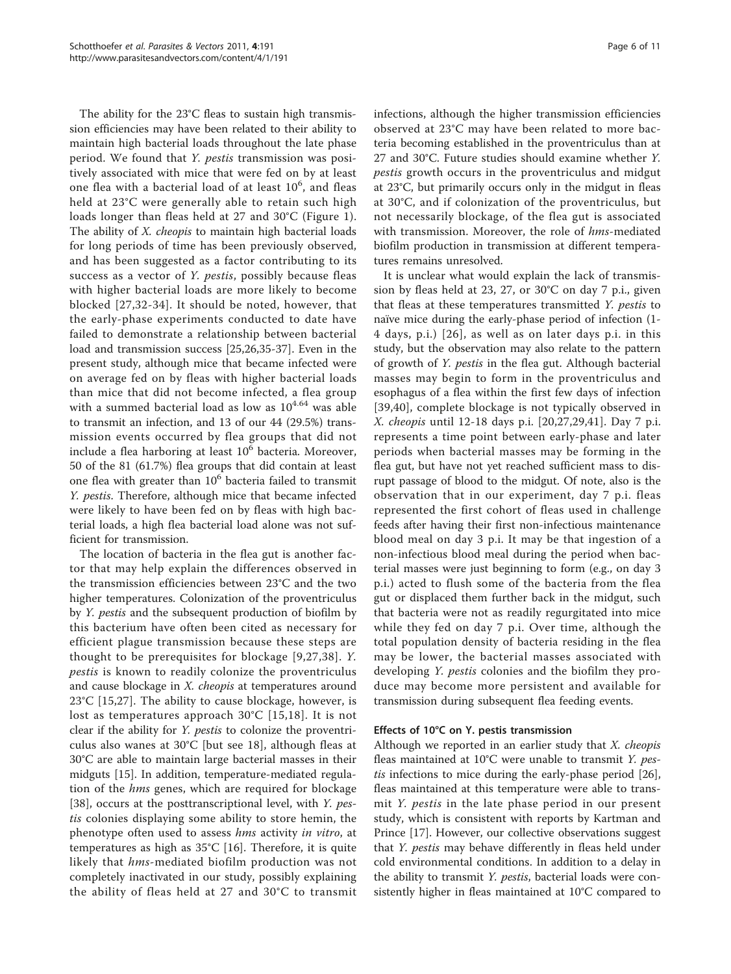The ability for the 23°C fleas to sustain high transmission efficiencies may have been related to their ability to maintain high bacterial loads throughout the late phase period. We found that Y. pestis transmission was positively associated with mice that were fed on by at least one flea with a bacterial load of at least  $10^6$ , and fleas held at 23°C were generally able to retain such high loads longer than fleas held at 27 and 30°C (Figure [1](#page-3-0)). The ability of *X. cheopis* to maintain high bacterial loads for long periods of time has been previously observed, and has been suggested as a factor contributing to its success as a vector of *Y. pestis*, possibly because fleas with higher bacterial loads are more likely to become blocked [\[27,32-34\]](#page-9-0). It should be noted, however, that the early-phase experiments conducted to date have failed to demonstrate a relationship between bacterial load and transmission success [\[25,26,35](#page-9-0)-[37\]](#page-9-0). Even in the present study, although mice that became infected were on average fed on by fleas with higher bacterial loads than mice that did not become infected, a flea group with a summed bacterial load as low as  $10^{4.64}$  was able to transmit an infection, and 13 of our 44 (29.5%) transmission events occurred by flea groups that did not include a flea harboring at least  $10<sup>6</sup>$  bacteria. Moreover, 50 of the 81 (61.7%) flea groups that did contain at least one flea with greater than  $10<sup>6</sup>$  bacteria failed to transmit Y. pestis. Therefore, although mice that became infected were likely to have been fed on by fleas with high bacterial loads, a high flea bacterial load alone was not sufficient for transmission.

The location of bacteria in the flea gut is another factor that may help explain the differences observed in the transmission efficiencies between 23°C and the two higher temperatures. Colonization of the proventriculus by Y. pestis and the subsequent production of biofilm by this bacterium have often been cited as necessary for efficient plague transmission because these steps are thought to be prerequisites for blockage [[9,27,38\]](#page-9-0). Y. pestis is known to readily colonize the proventriculus and cause blockage in X. cheopis at temperatures around  $23^{\circ}$ C [[15,27](#page-9-0)]. The ability to cause blockage, however, is lost as temperatures approach 30°C [[15](#page-9-0),[18](#page-9-0)]. It is not clear if the ability for Y. pestis to colonize the proventriculus also wanes at 30°C [but see 18], although fleas at 30°C are able to maintain large bacterial masses in their midguts [\[15](#page-9-0)]. In addition, temperature-mediated regulation of the hms genes, which are required for blockage [[38\]](#page-9-0), occurs at the posttranscriptional level, with Y. pestis colonies displaying some ability to store hemin, the phenotype often used to assess hms activity in vitro, at temperatures as high as 35°C [\[16](#page-9-0)]. Therefore, it is quite likely that *hms*-mediated biofilm production was not completely inactivated in our study, possibly explaining the ability of fleas held at 27 and 30°C to transmit infections, although the higher transmission efficiencies observed at 23°C may have been related to more bacteria becoming established in the proventriculus than at 27 and 30°C. Future studies should examine whether Y. pestis growth occurs in the proventriculus and midgut at 23°C, but primarily occurs only in the midgut in fleas at 30°C, and if colonization of the proventriculus, but not necessarily blockage, of the flea gut is associated with transmission. Moreover, the role of hms-mediated biofilm production in transmission at different temperatures remains unresolved.

It is unclear what would explain the lack of transmission by fleas held at 23, 27, or 30°C on day 7 p.i., given that fleas at these temperatures transmitted Y. pestis to naïve mice during the early-phase period of infection (1- 4 days, p.i.) [[26](#page-9-0)], as well as on later days p.i. in this study, but the observation may also relate to the pattern of growth of Y. pestis in the flea gut. Although bacterial masses may begin to form in the proventriculus and esophagus of a flea within the first few days of infection [[39](#page-9-0),[40\]](#page-9-0), complete blockage is not typically observed in X. cheopis until 12-18 days p.i. [[20,27](#page-9-0),[29,41\]](#page-9-0). Day 7 p.i. represents a time point between early-phase and later periods when bacterial masses may be forming in the flea gut, but have not yet reached sufficient mass to disrupt passage of blood to the midgut. Of note, also is the observation that in our experiment, day 7 p.i. fleas represented the first cohort of fleas used in challenge feeds after having their first non-infectious maintenance blood meal on day 3 p.i. It may be that ingestion of a non-infectious blood meal during the period when bacterial masses were just beginning to form (e.g., on day 3 p.i.) acted to flush some of the bacteria from the flea gut or displaced them further back in the midgut, such that bacteria were not as readily regurgitated into mice while they fed on day 7 p.i. Over time, although the total population density of bacteria residing in the flea may be lower, the bacterial masses associated with developing Y. pestis colonies and the biofilm they produce may become more persistent and available for transmission during subsequent flea feeding events.

#### Effects of 10°C on Y. pestis transmission

Although we reported in an earlier study that X. cheopis fleas maintained at  $10^{\circ}$ C were unable to transmit *Y. pes*tis infections to mice during the early-phase period [\[26](#page-9-0)], fleas maintained at this temperature were able to transmit *Y. pestis* in the late phase period in our present study, which is consistent with reports by Kartman and Prince [[17\]](#page-9-0). However, our collective observations suggest that Y. pestis may behave differently in fleas held under cold environmental conditions. In addition to a delay in the ability to transmit Y. pestis, bacterial loads were consistently higher in fleas maintained at 10°C compared to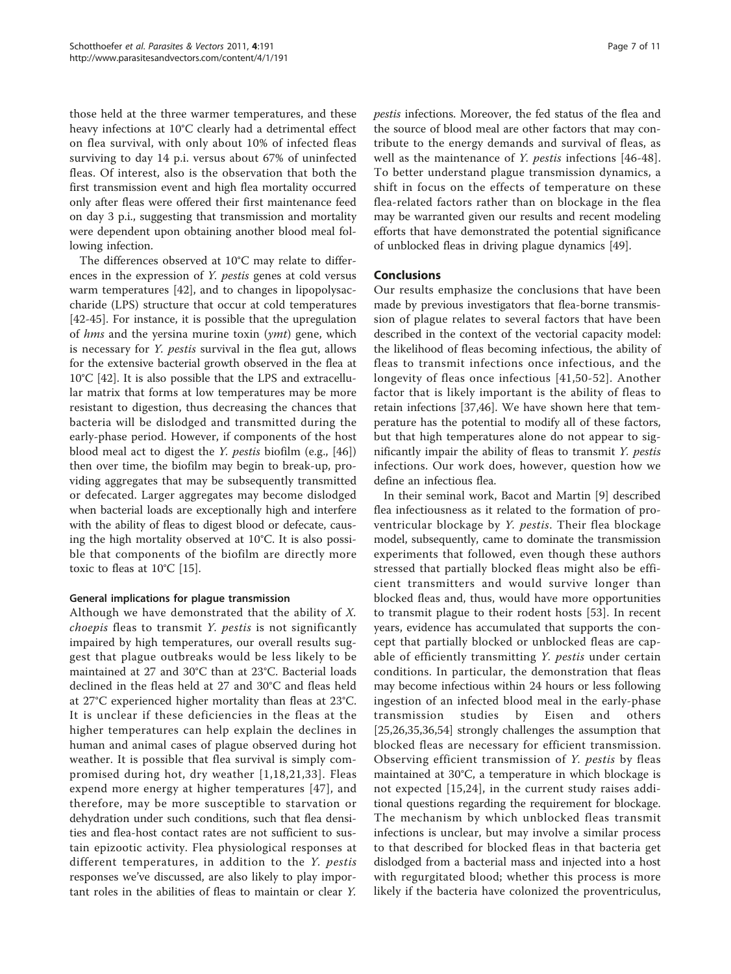those held at the three warmer temperatures, and these heavy infections at 10°C clearly had a detrimental effect on flea survival, with only about 10% of infected fleas surviving to day 14 p.i. versus about 67% of uninfected fleas. Of interest, also is the observation that both the first transmission event and high flea mortality occurred only after fleas were offered their first maintenance feed on day 3 p.i., suggesting that transmission and mortality were dependent upon obtaining another blood meal following infection.

The differences observed at 10°C may relate to differences in the expression of Y. pestis genes at cold versus warm temperatures [\[42](#page-9-0)], and to changes in lipopolysaccharide (LPS) structure that occur at cold temperatures [[42-](#page-9-0)[45](#page-10-0)]. For instance, it is possible that the upregulation of hms and the yersina murine toxin  $(\gamma m t)$  gene, which is necessary for Y. pestis survival in the flea gut, allows for the extensive bacterial growth observed in the flea at 10°C [\[42](#page-9-0)]. It is also possible that the LPS and extracellular matrix that forms at low temperatures may be more resistant to digestion, thus decreasing the chances that bacteria will be dislodged and transmitted during the early-phase period. However, if components of the host blood meal act to digest the Y. pestis biofilm (e.g., [\[46](#page-10-0)]) then over time, the biofilm may begin to break-up, providing aggregates that may be subsequently transmitted or defecated. Larger aggregates may become dislodged when bacterial loads are exceptionally high and interfere with the ability of fleas to digest blood or defecate, causing the high mortality observed at 10°C. It is also possible that components of the biofilm are directly more toxic to fleas at 10°C [[15\]](#page-9-0).

# General implications for plague transmission

Although we have demonstrated that the ability of X. choepis fleas to transmit Y. pestis is not significantly impaired by high temperatures, our overall results suggest that plague outbreaks would be less likely to be maintained at 27 and 30°C than at 23°C. Bacterial loads declined in the fleas held at 27 and 30°C and fleas held at 27°C experienced higher mortality than fleas at 23°C. It is unclear if these deficiencies in the fleas at the higher temperatures can help explain the declines in human and animal cases of plague observed during hot weather. It is possible that flea survival is simply compromised during hot, dry weather [[1](#page-9-0),[18](#page-9-0),[21](#page-9-0),[33](#page-9-0)]. Fleas expend more energy at higher temperatures [\[47\]](#page-10-0), and therefore, may be more susceptible to starvation or dehydration under such conditions, such that flea densities and flea-host contact rates are not sufficient to sustain epizootic activity. Flea physiological responses at different temperatures, in addition to the *Y. pestis* responses we've discussed, are also likely to play important roles in the abilities of fleas to maintain or clear Y. pestis infections. Moreover, the fed status of the flea and the source of blood meal are other factors that may contribute to the energy demands and survival of fleas, as well as the maintenance of Y. pestis infections [[46](#page-10-0)-[48](#page-10-0)]. To better understand plague transmission dynamics, a shift in focus on the effects of temperature on these flea-related factors rather than on blockage in the flea may be warranted given our results and recent modeling efforts that have demonstrated the potential significance of unblocked fleas in driving plague dynamics [[49](#page-10-0)].

# Conclusions

Our results emphasize the conclusions that have been made by previous investigators that flea-borne transmission of plague relates to several factors that have been described in the context of the vectorial capacity model: the likelihood of fleas becoming infectious, the ability of fleas to transmit infections once infectious, and the longevity of fleas once infectious [[41](#page-9-0),[50](#page-10-0)-[52](#page-10-0)]. Another factor that is likely important is the ability of fleas to retain infections [\[37](#page-9-0)[,46](#page-10-0)]. We have shown here that temperature has the potential to modify all of these factors, but that high temperatures alone do not appear to significantly impair the ability of fleas to transmit Y. pestis infections. Our work does, however, question how we define an infectious flea.

In their seminal work, Bacot and Martin [\[9](#page-9-0)] described flea infectiousness as it related to the formation of proventricular blockage by Y. pestis. Their flea blockage model, subsequently, came to dominate the transmission experiments that followed, even though these authors stressed that partially blocked fleas might also be efficient transmitters and would survive longer than blocked fleas and, thus, would have more opportunities to transmit plague to their rodent hosts [[53](#page-10-0)]. In recent years, evidence has accumulated that supports the concept that partially blocked or unblocked fleas are capable of efficiently transmitting Y. pestis under certain conditions. In particular, the demonstration that fleas may become infectious within 24 hours or less following ingestion of an infected blood meal in the early-phase transmission studies by Eisen and others [[25,26,35,36](#page-9-0)[,54](#page-10-0)] strongly challenges the assumption that blocked fleas are necessary for efficient transmission. Observing efficient transmission of Y. pestis by fleas maintained at 30°C, a temperature in which blockage is not expected [[15](#page-9-0),[24\]](#page-9-0), in the current study raises additional questions regarding the requirement for blockage. The mechanism by which unblocked fleas transmit infections is unclear, but may involve a similar process to that described for blocked fleas in that bacteria get dislodged from a bacterial mass and injected into a host with regurgitated blood; whether this process is more likely if the bacteria have colonized the proventriculus,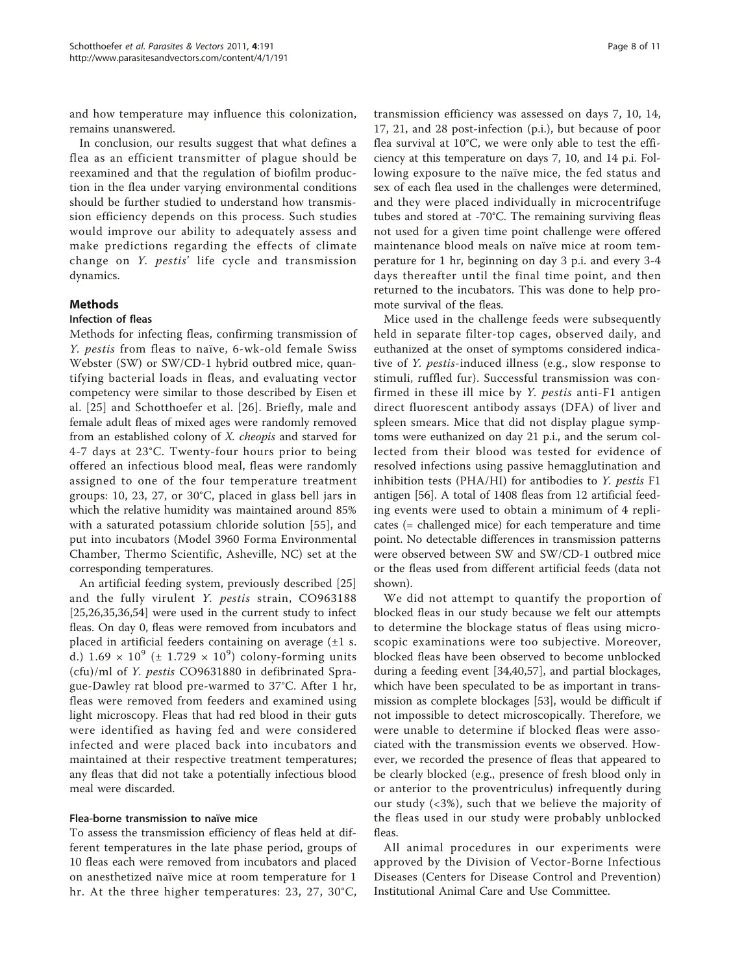and how temperature may influence this colonization, remains unanswered.

In conclusion, our results suggest that what defines a flea as an efficient transmitter of plague should be reexamined and that the regulation of biofilm production in the flea under varying environmental conditions should be further studied to understand how transmission efficiency depends on this process. Such studies would improve our ability to adequately assess and make predictions regarding the effects of climate change on Y. pestis' life cycle and transmission dynamics.

# Methods

#### Infection of fleas

Methods for infecting fleas, confirming transmission of Y. pestis from fleas to naïve, 6-wk-old female Swiss Webster (SW) or SW/CD-1 hybrid outbred mice, quantifying bacterial loads in fleas, and evaluating vector competency were similar to those described by Eisen et al. [[25\]](#page-9-0) and Schotthoefer et al. [[26\]](#page-9-0). Briefly, male and female adult fleas of mixed ages were randomly removed from an established colony of X. cheopis and starved for 4-7 days at 23°C. Twenty-four hours prior to being offered an infectious blood meal, fleas were randomly assigned to one of the four temperature treatment groups: 10, 23, 27, or 30°C, placed in glass bell jars in which the relative humidity was maintained around 85% with a saturated potassium chloride solution [[55\]](#page-10-0), and put into incubators (Model 3960 Forma Environmental Chamber, Thermo Scientific, Asheville, NC) set at the corresponding temperatures.

An artificial feeding system, previously described [\[25](#page-9-0)] and the fully virulent Y. pestis strain, CO963188 [[25,26,35,36,](#page-9-0)[54\]](#page-10-0) were used in the current study to infect fleas. On day 0, fleas were removed from incubators and placed in artificial feeders containing on average  $(\pm 1 \text{ s.})$ d.)  $1.69 \times 10^9$  ( $\pm 1.729 \times 10^9$ ) colony-forming units (cfu)/ml of Y. pestis CO9631880 in defibrinated Sprague-Dawley rat blood pre-warmed to 37°C. After 1 hr, fleas were removed from feeders and examined using light microscopy. Fleas that had red blood in their guts were identified as having fed and were considered infected and were placed back into incubators and maintained at their respective treatment temperatures; any fleas that did not take a potentially infectious blood meal were discarded.

#### Flea-borne transmission to naïve mice

To assess the transmission efficiency of fleas held at different temperatures in the late phase period, groups of 10 fleas each were removed from incubators and placed on anesthetized naïve mice at room temperature for 1 hr. At the three higher temperatures: 23, 27, 30°C,

transmission efficiency was assessed on days 7, 10, 14, 17, 21, and 28 post-infection (p.i.), but because of poor flea survival at 10°C, we were only able to test the efficiency at this temperature on days 7, 10, and 14 p.i. Following exposure to the naïve mice, the fed status and sex of each flea used in the challenges were determined, and they were placed individually in microcentrifuge tubes and stored at -70°C. The remaining surviving fleas not used for a given time point challenge were offered maintenance blood meals on naïve mice at room temperature for 1 hr, beginning on day 3 p.i. and every 3-4 days thereafter until the final time point, and then returned to the incubators. This was done to help promote survival of the fleas.

Mice used in the challenge feeds were subsequently held in separate filter-top cages, observed daily, and euthanized at the onset of symptoms considered indicative of Y. pestis-induced illness (e.g., slow response to stimuli, ruffled fur). Successful transmission was confirmed in these ill mice by Y. pestis anti-F1 antigen direct fluorescent antibody assays (DFA) of liver and spleen smears. Mice that did not display plague symptoms were euthanized on day 21 p.i., and the serum collected from their blood was tested for evidence of resolved infections using passive hemagglutination and inhibition tests (PHA/HI) for antibodies to  $Y$ . pestis F1 antigen [\[56\]](#page-10-0). A total of 1408 fleas from 12 artificial feeding events were used to obtain a minimum of 4 replicates (= challenged mice) for each temperature and time point. No detectable differences in transmission patterns were observed between SW and SW/CD-1 outbred mice or the fleas used from different artificial feeds (data not shown).

We did not attempt to quantify the proportion of blocked fleas in our study because we felt our attempts to determine the blockage status of fleas using microscopic examinations were too subjective. Moreover, blocked fleas have been observed to become unblocked during a feeding event [\[34,40](#page-9-0),[57](#page-10-0)], and partial blockages, which have been speculated to be as important in transmission as complete blockages [\[53\]](#page-10-0), would be difficult if not impossible to detect microscopically. Therefore, we were unable to determine if blocked fleas were associated with the transmission events we observed. However, we recorded the presence of fleas that appeared to be clearly blocked (e.g., presence of fresh blood only in or anterior to the proventriculus) infrequently during our study (<3%), such that we believe the majority of the fleas used in our study were probably unblocked fleas.

All animal procedures in our experiments were approved by the Division of Vector-Borne Infectious Diseases (Centers for Disease Control and Prevention) Institutional Animal Care and Use Committee.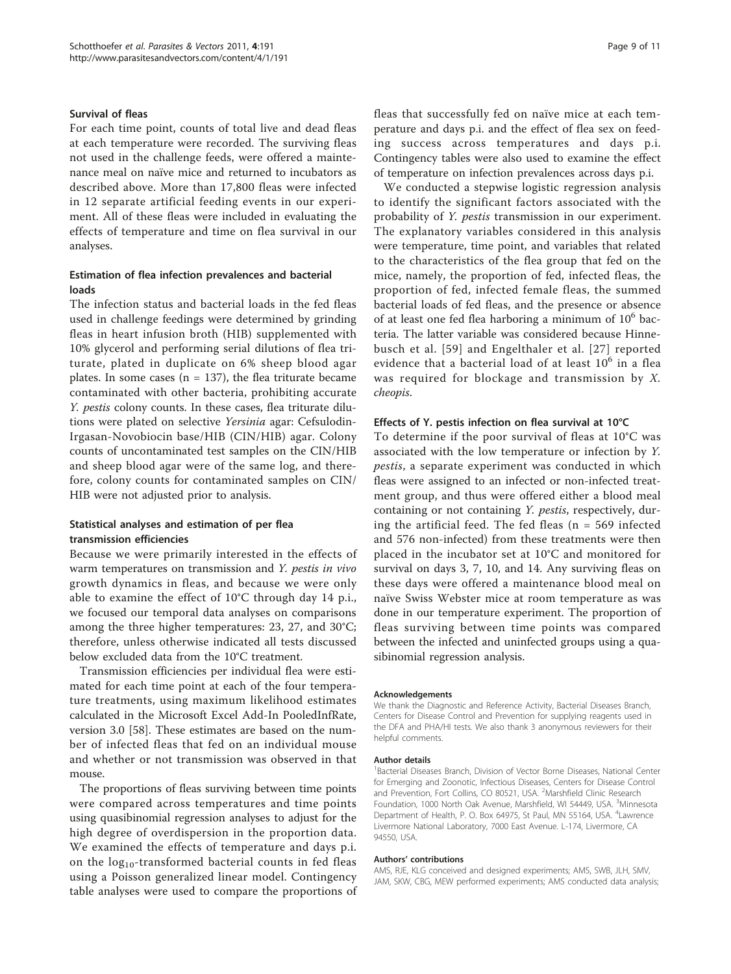# Survival of fleas

For each time point, counts of total live and dead fleas at each temperature were recorded. The surviving fleas not used in the challenge feeds, were offered a maintenance meal on naïve mice and returned to incubators as described above. More than 17,800 fleas were infected in 12 separate artificial feeding events in our experiment. All of these fleas were included in evaluating the effects of temperature and time on flea survival in our analyses.

# Estimation of flea infection prevalences and bacterial loads

The infection status and bacterial loads in the fed fleas used in challenge feedings were determined by grinding fleas in heart infusion broth (HIB) supplemented with 10% glycerol and performing serial dilutions of flea triturate, plated in duplicate on 6% sheep blood agar plates. In some cases ( $n = 137$ ), the flea triturate became contaminated with other bacteria, prohibiting accurate Y. pestis colony counts. In these cases, flea triturate dilutions were plated on selective Yersinia agar: Cefsulodin-Irgasan-Novobiocin base/HIB (CIN/HIB) agar. Colony counts of uncontaminated test samples on the CIN/HIB and sheep blood agar were of the same log, and therefore, colony counts for contaminated samples on CIN/ HIB were not adjusted prior to analysis.

# Statistical analyses and estimation of per flea transmission efficiencies

Because we were primarily interested in the effects of warm temperatures on transmission and *Y. pestis in vivo* growth dynamics in fleas, and because we were only able to examine the effect of 10°C through day 14 p.i., we focused our temporal data analyses on comparisons among the three higher temperatures: 23, 27, and 30°C; therefore, unless otherwise indicated all tests discussed below excluded data from the 10°C treatment.

Transmission efficiencies per individual flea were estimated for each time point at each of the four temperature treatments, using maximum likelihood estimates calculated in the Microsoft Excel Add-In PooledInfRate, version 3.0 [\[58\]](#page-10-0). These estimates are based on the number of infected fleas that fed on an individual mouse and whether or not transmission was observed in that mouse.

The proportions of fleas surviving between time points were compared across temperatures and time points using quasibinomial regression analyses to adjust for the high degree of overdispersion in the proportion data. We examined the effects of temperature and days p.i. on the  $log_{10}$ -transformed bacterial counts in fed fleas using a Poisson generalized linear model. Contingency table analyses were used to compare the proportions of fleas that successfully fed on naïve mice at each temperature and days p.i. and the effect of flea sex on feeding success across temperatures and days p.i. Contingency tables were also used to examine the effect of temperature on infection prevalences across days p.i.

We conducted a stepwise logistic regression analysis to identify the significant factors associated with the probability of Y. pestis transmission in our experiment. The explanatory variables considered in this analysis were temperature, time point, and variables that related to the characteristics of the flea group that fed on the mice, namely, the proportion of fed, infected fleas, the proportion of fed, infected female fleas, the summed bacterial loads of fed fleas, and the presence or absence of at least one fed flea harboring a minimum of  $10^6$  bacteria. The latter variable was considered because Hinnebusch et al. [[59\]](#page-10-0) and Engelthaler et al. [[27](#page-9-0)] reported evidence that a bacterial load of at least  $10<sup>6</sup>$  in a flea was required for blockage and transmission by X. cheopis.

#### Effects of Y. pestis infection on flea survival at 10°C

To determine if the poor survival of fleas at 10°C was associated with the low temperature or infection by Y. pestis, a separate experiment was conducted in which fleas were assigned to an infected or non-infected treatment group, and thus were offered either a blood meal containing or not containing Y. pestis, respectively, during the artificial feed. The fed fleas ( $n = 569$  infected and 576 non-infected) from these treatments were then placed in the incubator set at 10°C and monitored for survival on days 3, 7, 10, and 14. Any surviving fleas on these days were offered a maintenance blood meal on naïve Swiss Webster mice at room temperature as was done in our temperature experiment. The proportion of fleas surviving between time points was compared between the infected and uninfected groups using a quasibinomial regression analysis.

#### Acknowledgements

We thank the Diagnostic and Reference Activity, Bacterial Diseases Branch, Centers for Disease Control and Prevention for supplying reagents used in the DFA and PHA/HI tests. We also thank 3 anonymous reviewers for their helpful comments.

#### Author details

<sup>1</sup>Bacterial Diseases Branch, Division of Vector Borne Diseases, National Center for Emerging and Zoonotic, Infectious Diseases, Centers for Disease Control and Prevention, Fort Collins, CO 80521, USA. <sup>2</sup>Marshfield Clinic Research Foundation, 1000 North Oak Avenue, Marshfield, WI 54449, USA. <sup>3</sup>Minnesota Department of Health, P. O. Box 64975, St Paul, MN 55164, USA. <sup>4</sup>Lawrence Livermore National Laboratory, 7000 East Avenue. L-174, Livermore, CA 94550, USA.

#### Authors' contributions

AMS, RJE, KLG conceived and designed experiments; AMS, SWB, JLH, SMV, JAM, SKW, CBG, MEW performed experiments; AMS conducted data analysis;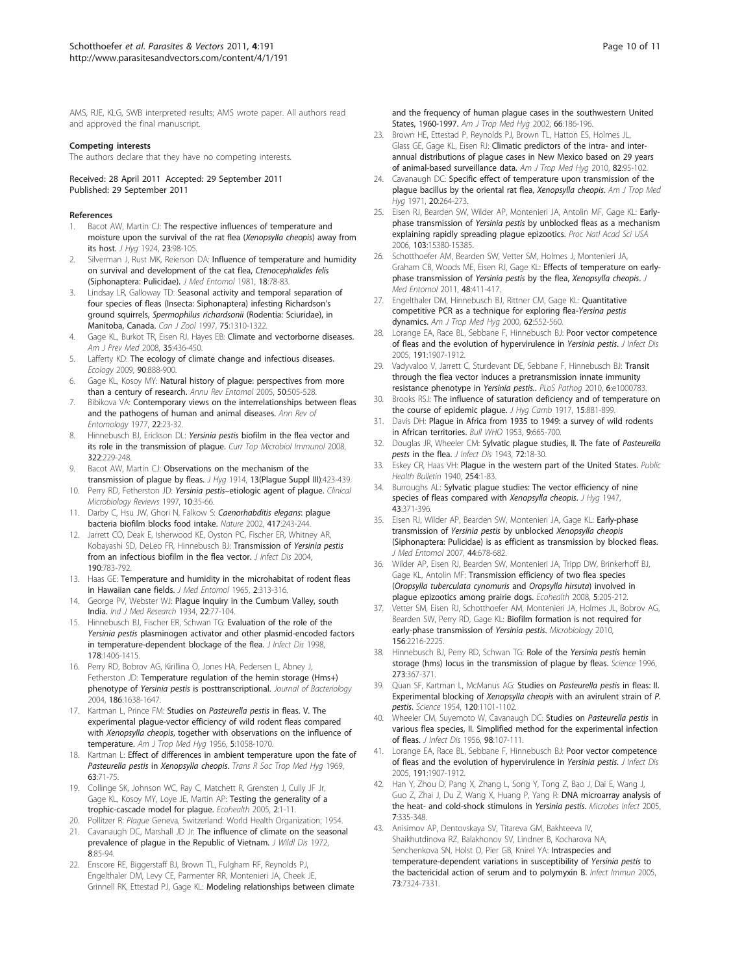<span id="page-9-0"></span>AMS, RJE, KLG, SWB interpreted results; AMS wrote paper. All authors read and approved the final manuscript.

#### Competing interests

The authors declare that they have no competing interests.

Received: 28 April 2011 Accepted: 29 September 2011 Published: 29 September 2011

#### References

- Bacot AW, Martin CJ: The respective influences of temperature and moisture upon the survival of the rat flea (Xenopsylla cheopis) away from its host. J Hyg 1924, 23:98-105.
- 2. Silverman J, Rust MK, Reierson DA: [Influence of temperature and humidity](http://www.ncbi.nlm.nih.gov/pubmed/7288833?dopt=Abstract) [on survival and development of the cat flea,](http://www.ncbi.nlm.nih.gov/pubmed/7288833?dopt=Abstract) Ctenocephalides felis [\(Siphonaptera: Pulicidae\).](http://www.ncbi.nlm.nih.gov/pubmed/7288833?dopt=Abstract) J Med Entomol 1981, 18:78-83.
- 3. Lindsay LR, Galloway TD: Seasonal activity and temporal separation of four species of fleas (Insecta: Siphonaptera) infesting Richardson's ground squirrels, Spermophilus richardsonii (Rodentia: Sciuridae), in Manitoba, Canada. Can J Zool 1997, 75:1310-1322.
- 4. Gage KL, Burkot TR, Eisen RJ, Hayes EB: [Climate and vectorborne diseases.](http://www.ncbi.nlm.nih.gov/pubmed/18929970?dopt=Abstract) Am J Prev Med 2008, 35:436-450.
- 5. Lafferty KD: [The ecology of climate change and infectious diseases.](http://www.ncbi.nlm.nih.gov/pubmed/19449681?dopt=Abstract) Ecology 2009, 90:888-900.
- 6. Gage KL, Kosoy MY: [Natural history of plague: perspectives from more](http://www.ncbi.nlm.nih.gov/pubmed/15471529?dopt=Abstract) [than a century of research.](http://www.ncbi.nlm.nih.gov/pubmed/15471529?dopt=Abstract) Annu Rev Entomol 2005, 50:505-528.
- 7. Bibikova VA: Contemporary views on the interrelationships between fleas and the pathogens of human and animal diseases. Ann Rev of Entomology 1977, 22:23-32.
- 8. Hinnebusch BJ, Erickson DL: Yersinia pestis [biofilm in the flea vector and](http://www.ncbi.nlm.nih.gov/pubmed/18453279?dopt=Abstract) [its role in the transmission of plague.](http://www.ncbi.nlm.nih.gov/pubmed/18453279?dopt=Abstract) Curr Top Microbiol Immunol 2008, 322:229-248.
- 9. Bacot AW, Martin CJ: Observations on the mechanism of the transmission of plague by fleas. J Hyg 1914, 13 (Plague Suppl III):423-439.
- 10. Perry RD, Fetherston JD: Yersinia pestis-[etiologic agent of plague.](http://www.ncbi.nlm.nih.gov/pubmed/8993858?dopt=Abstract) Clinical Microbiology Reviews 1997, 10:35-66.
- 11. Darby C, Hsu JW, Ghori N, Falkow S: [Caenorhabditis elegans](http://www.ncbi.nlm.nih.gov/pubmed/12015591?dopt=Abstract): plague [bacteria biofilm blocks food intake.](http://www.ncbi.nlm.nih.gov/pubmed/12015591?dopt=Abstract) Nature 2002, 417:243-244.
- 12. Jarrett CO, Deak E, Isherwood KE, Oyston PC, Fischer ER, Whitney AR, Kobayashi SD, DeLeo FR, Hinnebusch BJ: [Transmission of](http://www.ncbi.nlm.nih.gov/pubmed/15272407?dopt=Abstract) Yersinia pestis [from an infectious biofilm in the flea vector.](http://www.ncbi.nlm.nih.gov/pubmed/15272407?dopt=Abstract) J Infect Dis 2004, 190:783-792.
- 13. Haas GE: [Temperature and humidity in the microhabitat of rodent fleas](http://www.ncbi.nlm.nih.gov/pubmed/5891043?dopt=Abstract) in [Hawaiian cane fields.](http://www.ncbi.nlm.nih.gov/pubmed/5891043?dopt=Abstract) J Med Entomol 1965, 2:313-316.
- 14. George PV, Webster WJ: Plague inquiry in the Cumbum Valley, south India. Ind J Med Research 1934, 22:77-104.
- 15. Hinnebusch BJ, Fischer ER, Schwan TG: [Evaluation of the role of the](http://www.ncbi.nlm.nih.gov/pubmed/9780262?dopt=Abstract) Yersinia pestis [plasminogen activator and other plasmid-encoded factors](http://www.ncbi.nlm.nih.gov/pubmed/9780262?dopt=Abstract) [in temperature-dependent blockage of the flea.](http://www.ncbi.nlm.nih.gov/pubmed/9780262?dopt=Abstract) *J Infect Dis* 1998, 178:1406-1415.
- 16. Perry RD, Bobrov AG, Kirillina O, Jones HA, Pedersen L, Abney J, Fetherston JD: [Temperature regulation of the hemin storage \(Hms+\)](http://www.ncbi.nlm.nih.gov/pubmed/14996794?dopt=Abstract) phenotype of Yersinia pestis [is posttranscriptional.](http://www.ncbi.nlm.nih.gov/pubmed/14996794?dopt=Abstract) Journal of Bacteriology 2004, 186:1638-1647.
- 17. Kartman L, Prince FM: Studies on [Pasteurella pestis](http://www.ncbi.nlm.nih.gov/pubmed/13381882?dopt=Abstract) in fleas. V. The [experimental plague-vector efficiency of wild rodent fleas compared](http://www.ncbi.nlm.nih.gov/pubmed/13381882?dopt=Abstract) with Xenopsylla cheopis[, together with observations on the influence of](http://www.ncbi.nlm.nih.gov/pubmed/13381882?dopt=Abstract) [temperature.](http://www.ncbi.nlm.nih.gov/pubmed/13381882?dopt=Abstract) Am J Trop Med Hyg 1956, 5:1058-1070.
- 18. Kartman L: [Effect of differences in ambient temperature upon the fate of](http://www.ncbi.nlm.nih.gov/pubmed/5789111?dopt=Abstract) Pasteurella pestis in [Xenopsylla cheopis](http://www.ncbi.nlm.nih.gov/pubmed/5789111?dopt=Abstract). Trans R Soc Trop Med Hyg 1969, 63:71-75.
- 19. Collinge SK, Johnson WC, Ray C, Matchett R, Grensten J, Cully JF Jr, Gage KL, Kosoy MY, Loye JE, Martin AP: Testing the generality of a trophic-cascade model for plague. Ecohealth 2005, 2:1-11.
- 20. Pollitzer R: Plague Geneva, Switzerland: World Health Organization; 1954. 21. Cavanaugh DC, Marshall JD Jr: [The influence of climate on the seasonal](http://www.ncbi.nlm.nih.gov/pubmed/5061742?dopt=Abstract)
- [prevalence of plague in the Republic of Vietnam.](http://www.ncbi.nlm.nih.gov/pubmed/5061742?dopt=Abstract) J Wildl Dis 1972, 8:85-94.
- 22. Enscore RE, Biggerstaff BJ, Brown TL, Fulgham RF, Reynolds PJ, Engelthaler DM, Levy CE, Parmenter RR, Montenieri JA, Cheek JE, Grinnell RK, Ettestad PJ, Gage KL: [Modeling relationships between climate](http://www.ncbi.nlm.nih.gov/pubmed/12135292?dopt=Abstract)

[and the frequency of human plague cases in the southwestern United](http://www.ncbi.nlm.nih.gov/pubmed/12135292?dopt=Abstract) [States, 1960-1997.](http://www.ncbi.nlm.nih.gov/pubmed/12135292?dopt=Abstract) Am J Trop Med Hyg 2002, 66:186-196.

- 23. Brown HE, Ettestad P, Reynolds PJ, Brown TL, Hatton ES, Holmes JL, Glass GE, Gage KL, Eisen RJ: [Climatic predictors of the intra- and inter](http://www.ncbi.nlm.nih.gov/pubmed/20065002?dopt=Abstract)[annual distributions of plague cases in New Mexico based on 29 years](http://www.ncbi.nlm.nih.gov/pubmed/20065002?dopt=Abstract) [of animal-based surveillance data.](http://www.ncbi.nlm.nih.gov/pubmed/20065002?dopt=Abstract) Am J Trop Med Hyg 2010, 82:95-102.
- 24. Cavanaugh DC: [Specific effect of temperature upon transmission of the](http://www.ncbi.nlm.nih.gov/pubmed/5553266?dopt=Abstract) [plague bacillus by the oriental rat flea,](http://www.ncbi.nlm.nih.gov/pubmed/5553266?dopt=Abstract) Xenopsylla cheopis. Am J Trop Med Hyg 1971, 20:264-273.
- 25. Eisen RJ, Bearden SW, Wilder AP, Montenieri JA, Antolin MF, Gage KL: [Early](http://www.ncbi.nlm.nih.gov/pubmed/17032761?dopt=Abstract)phase transmission of Yersinia pestis [by unblocked fleas as a mechanism](http://www.ncbi.nlm.nih.gov/pubmed/17032761?dopt=Abstract) [explaining rapidly spreading plague epizootics.](http://www.ncbi.nlm.nih.gov/pubmed/17032761?dopt=Abstract) Proc Natl Acad Sci USA 2006, 103:15380-15385.
- 26. Schotthoefer AM, Bearden SW, Vetter SM, Holmes J, Montenieri JA, Graham CB, Woods ME, Eisen RJ, Gage KL: [Effects of temperature on early](http://www.ncbi.nlm.nih.gov/pubmed/21485382?dopt=Abstract)[phase transmission of](http://www.ncbi.nlm.nih.gov/pubmed/21485382?dopt=Abstract) Yersinia pestis by the flea, Xenopsylla cheopis. J Med Entomol 2011, 48:411-417.
- 27. Engelthaler DM, Hinnebusch BJ, Rittner CM, Gage KL: [Quantitative](http://www.ncbi.nlm.nih.gov/pubmed/11289663?dopt=Abstract) [competitive PCR as a technique for exploring flea-](http://www.ncbi.nlm.nih.gov/pubmed/11289663?dopt=Abstract)Yersina pestis [dynamics.](http://www.ncbi.nlm.nih.gov/pubmed/11289663?dopt=Abstract) Am J Trop Med Hyg 2000, 62:552-560.
- 28. Lorange EA, Race BL, Sebbane F, Hinnebusch BJ: [Poor vector competence](http://www.ncbi.nlm.nih.gov/pubmed/15871125?dopt=Abstract) [of fleas and the evolution of hypervirulence in](http://www.ncbi.nlm.nih.gov/pubmed/15871125?dopt=Abstract) Yersinia pestis. J Infect Dis 2005, 191:1907-1912.
- 29. Vadyvaloo V, Jarrett C, Sturdevant DE, Sebbane F, Hinnebusch BJ: [Transit](http://www.ncbi.nlm.nih.gov/pubmed/20195507?dopt=Abstract) [through the flea vector induces a pretransmission innate immunity](http://www.ncbi.nlm.nih.gov/pubmed/20195507?dopt=Abstract) [resistance phenotype in](http://www.ncbi.nlm.nih.gov/pubmed/20195507?dopt=Abstract) Yersinia pestis.. PLoS Pathog 2010, 6:e1000783.
- 30. Brooks RSJ: [The influence of saturation deficiency and of temperature on](http://www.ncbi.nlm.nih.gov/pubmed/20474638?dopt=Abstract) [the course of epidemic plague.](http://www.ncbi.nlm.nih.gov/pubmed/20474638?dopt=Abstract) *J Hyg Camb* 1917, 15:881-899.
- 31. Davis DH: [Plague in Africa from 1935 to 1949: a survey of wild rodents](http://www.ncbi.nlm.nih.gov/pubmed/13115987?dopt=Abstract) [in African territories.](http://www.ncbi.nlm.nih.gov/pubmed/13115987?dopt=Abstract) Bull WHO 1953, 9:665-700.
- 32. Douglas JR, Wheeler CM: Sylvatic plague studies, II. The fate of Pasteurella pests in the flea. J Infect Dis 1943, 72:18-30.
- 33. Eskey CR, Haas VH: Plaque in the western part of the United States. Public Health Bulletin 1940, 254:1-83.
- 34. Burroughs AL: Sylvatic plague studies: The vector efficiency of nine species of fleas compared with Xenopsylla cheopis. J Hyg 1947, 43:371-396.
- 35. Eisen RJ, Wilder AP, Bearden SW, Montenieri JA, Gage KL: [Early-phase](http://www.ncbi.nlm.nih.gov/pubmed/17695025?dopt=Abstract) transmission of Yersinia pestis by unblocked [Xenopsylla cheopis](http://www.ncbi.nlm.nih.gov/pubmed/17695025?dopt=Abstract) [\(Siphonaptera: Pulicidae\) is as efficient as transmission by blocked fleas.](http://www.ncbi.nlm.nih.gov/pubmed/17695025?dopt=Abstract) J Med Entomol 2007, 44:678-682.
- 36. Wilder AP, Eisen RJ, Bearden SW, Montenieri JA, Tripp DW, Brinkerhoff BJ, Gage KL, Antolin MF: [Transmission efficiency of two flea species](http://www.ncbi.nlm.nih.gov/pubmed/18787922?dopt=Abstract) (Oropsylla [tuberculata cynomuris](http://www.ncbi.nlm.nih.gov/pubmed/18787922?dopt=Abstract) and Oropsylla hirsuta) involved in [plague epizootics among prairie dogs.](http://www.ncbi.nlm.nih.gov/pubmed/18787922?dopt=Abstract) Ecohealth 2008, 5:205-212.
- 37. Vetter SM, Eisen RJ, Schotthoefer AM, Montenieri JA, Holmes JL, Bobrov AG, Bearden SW, Perry RD, Gage KL: [Biofilm formation is not required for](http://www.ncbi.nlm.nih.gov/pubmed/20395271?dopt=Abstract) [early-phase transmission of](http://www.ncbi.nlm.nih.gov/pubmed/20395271?dopt=Abstract) Yersinia pestis. Microbiology 2010, 156:2216-2225.
- 38. Hinnebusch BJ, Perry RD, Schwan TG: Role of the [Yersinia pestis](http://www.ncbi.nlm.nih.gov/pubmed/8662526?dopt=Abstract) hemin [storage \(hms\) locus in the transmission of plague by fleas.](http://www.ncbi.nlm.nih.gov/pubmed/8662526?dopt=Abstract) Science 1996, 273:367-371.
- 39. Quan SF, Kartman L, McManus AG: Studies on [Pasteurella pestis](http://www.ncbi.nlm.nih.gov/pubmed/13216228?dopt=Abstract) in fleas: II. Experimental blocking of Xenopsylla cheopis [with an avirulent strain of](http://www.ncbi.nlm.nih.gov/pubmed/13216228?dopt=Abstract) P. [pestis](http://www.ncbi.nlm.nih.gov/pubmed/13216228?dopt=Abstract). Science 1954, 120:1101-1102.
- 40. Wheeler CM, Suyemoto W, Cavanaugh DC: Studies on Pasteurella pestis in various flea species, II. Simplified method for the experimental infection of fleas. J Infect Dis 1956, 98:107-111.
- 41. Lorange EA, Race BL, Sebbane F, Hinnebusch BJ: [Poor vector competence](http://www.ncbi.nlm.nih.gov/pubmed/15871125?dopt=Abstract) [of fleas and the evolution of hypervirulence in](http://www.ncbi.nlm.nih.gov/pubmed/15871125?dopt=Abstract) Yersinia pestis. J Infect Dis 2005, 191:1907-1912.
- 42. Han Y, Zhou D, Pang X, Zhang L, Song Y, Tong Z, Bao J, Dai E, Wang J, Guo Z, Zhai J, Du Z, Wang X, Huang P, Yang R: [DNA microarray analysis of](http://www.ncbi.nlm.nih.gov/pubmed/15777740?dopt=Abstract) [the heat- and cold-shock stimulons in](http://www.ncbi.nlm.nih.gov/pubmed/15777740?dopt=Abstract) Yersinia pestis. Microbes Infect 2005, 7:335-348.
- 43. Anisimov AP, Dentovskaya SV, Titareva GM, Bakhteeva IV, Shaikhutdinova RZ, Balakhonov SV, Lindner B, Kocharova NA, Senchenkova SN, Holst O, Pier GB, Knirel YA: [Intraspecies and](http://www.ncbi.nlm.nih.gov/pubmed/16239530?dopt=Abstract) [temperature-dependent variations in susceptibility of](http://www.ncbi.nlm.nih.gov/pubmed/16239530?dopt=Abstract) Yersinia pestis to [the bactericidal action of serum and to polymyxin B.](http://www.ncbi.nlm.nih.gov/pubmed/16239530?dopt=Abstract) Infect Immun 2005, 73:7324-7331.